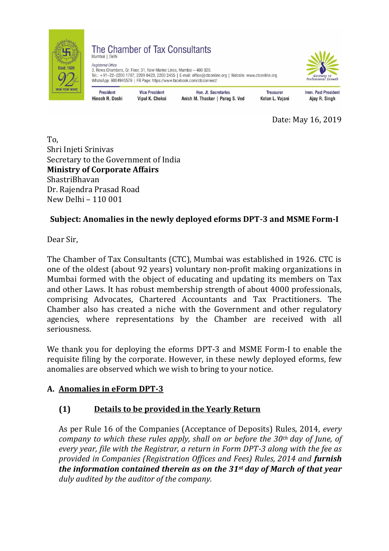

The Chamber of Tax Consultants Mumbai | Delhi

**Begistered Office** 3, Rewa Chambers, Gr. Floor, 31, New Marine Lines, Mumbai - 400 020. Tel.: +91-22-2200 1787, 2209 0423, 2200 2455 | E-mail: office@ctconline.org | Website: www.ctconline.org WhatsApp: 9004945579 | FB Page: https://www.facebook.com/ctcconnect/



**President Hinesh R. Doshi** 

**Vice President Vipul K. Choksi** 

Hon, Jt. Secretaries Anish M. Thacker | Parag S. Ved

**Treasurer** Ketan L. Vajani **Imm. Past President** Ajay R. Singh

Date: May 16, 2019

To, Shri Injeti Srinivas Secretary to the Government of India **Ministry of Corporate Affairs** ShastriBhavan Dr. Rajendra Prasad Road New Delhi – 110 001

# **Subject: Anomalies in the newly deployed eforms DPT-3 and MSME Form-I**

Dear Sir,

The Chamber of Tax Consultants (CTC), Mumbai was established in 1926. CTC is one of the oldest (about 92 years) voluntary non-profit making organizations in Mumbai formed with the object of educating and updating its members on Tax and other Laws. It has robust membership strength of about 4000 professionals, comprising Advocates, Chartered Accountants and Tax Practitioners. The Chamber also has created a niche with the Government and other regulatory agencies, where representations by the Chamber are received with all seriousness.

We thank you for deploying the eforms DPT-3 and MSME Form-I to enable the requisite filing by the corporate. However, in these newly deployed eforms, few anomalies are observed which we wish to bring to your notice.

## **A. Anomalies in eForm DPT-3**

## **(1) Details to be provided in the Yearly Return**

As per Rule 16 of the Companies (Acceptance of Deposits) Rules, 2014, *every company to which these rules apply, shall on or before the 30th day of June, of every year, file with the Registrar, a return in Form DPT-3 along with the fee as provided in Companies (Registration Offices and Fees) Rules, 2014 and furnish the information contained therein as on the 31st day of March of that year duly audited by the auditor of the company.*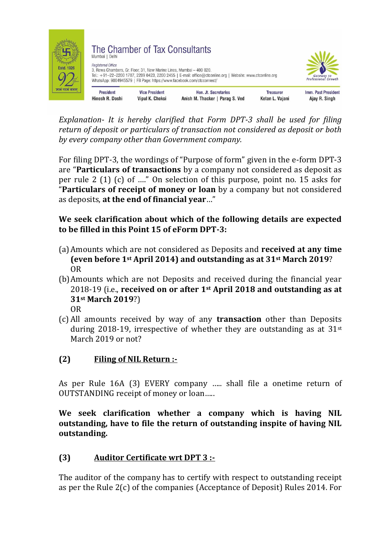

*Explanation- It is hereby clarified that Form DPT-3 shall be used for filing return of deposit or particulars of transaction not considered as deposit or both by every company other than Government company.*

For filing DPT-3, the wordings of "Purpose of form" given in the e-form DPT-3 are "**Particulars of transactions** by a company not considered as deposit as per rule 2 (1) (c) of …." On selection of this purpose, point no. 15 asks for "**Particulars of receipt of money or loan** by a company but not considered as deposits, **at the end of financial year**…"

**We seek clarification about which of the following details are expected to be filled in this Point 15 of eForm DPT-3:**

- (a)Amounts which are not considered as Deposits and **received at any time (even before 1st April 2014) and outstanding as at 31st March 2019**? OR
- (b)Amounts which are not Deposits and received during the financial year 2018-19 (i.e., **received on or after 1st April 2018 and outstanding as at 31st March 2019**?)
	- OR
- (c) All amounts received by way of any **transaction** other than Deposits during 2018-19, irrespective of whether they are outstanding as at  $31$ <sup>st</sup> March 2019 or not?

## **(2) Filing of NIL Return :-**

As per Rule 16A (3) EVERY company ….. shall file a onetime return of OUTSTANDING receipt of money or loan…..

**We seek clarification whether a company which is having NIL outstanding, have to file the return of outstanding inspite of having NIL outstanding.** 

## **(3) Auditor Certificate wrt DPT 3 :-**

The auditor of the company has to certify with respect to outstanding receipt as per the Rule 2(c) of the companies (Acceptance of Deposit) Rules 2014. For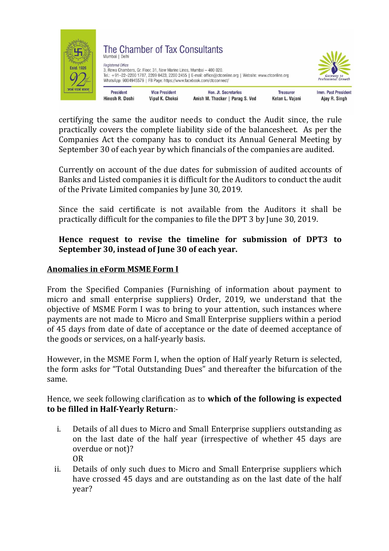

certifying the same the auditor needs to conduct the Audit since, the rule practically covers the complete liability side of the balancesheet. As per the Companies Act the company has to conduct its Annual General Meeting by September 30 of each year by which financials of the companies are audited.

Currently on account of the due dates for submission of audited accounts of Banks and Listed companies it is difficult for the Auditors to conduct the audit of the Private Limited companies by June 30, 2019.

Since the said certificate is not available from the Auditors it shall be practically difficult for the companies to file the DPT 3 by June 30, 2019.

#### **Hence request to revise the timeline for submission of DPT3 to September 30, instead of June 30 of each year.**

#### **Anomalies in eForm MSME Form I**

From the Specified Companies (Furnishing of information about payment to micro and small enterprise suppliers) Order, 2019, we understand that the objective of MSME Form I was to bring to your attention, such instances where payments are not made to Micro and Small Enterprise suppliers within a period of 45 days from date of date of acceptance or the date of deemed acceptance of the goods or services, on a half-yearly basis.

However, in the MSME Form I, when the option of Half yearly Return is selected, the form asks for "Total Outstanding Dues" and thereafter the bifurcation of the same.

#### Hence, we seek following clarification as to **which of the following is expected to be filled in Half-Yearly Return**:-

- i. Details of all dues to Micro and Small Enterprise suppliers outstanding as on the last date of the half year (irrespective of whether 45 days are overdue or not)? OR
- ii. Details of only such dues to Micro and Small Enterprise suppliers which have crossed 45 days and are outstanding as on the last date of the half year?